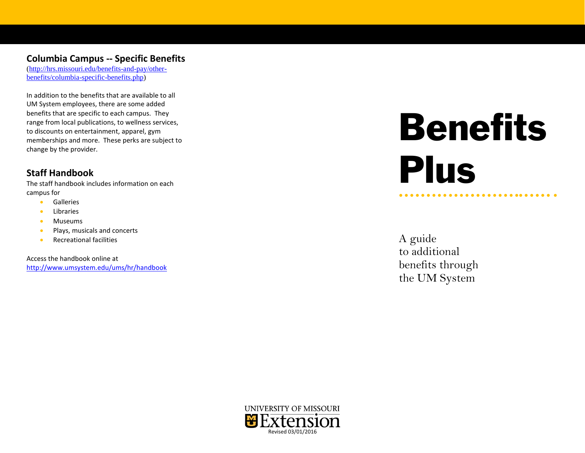#### **Columbia Campus -- Specific Benefits**

[\(http://hrs.missouri.edu/benefits-and-pay/other](http://hrs.missouri.edu/benefits-and-pay/other-benefits/columbia-specific-benefits.php)[benefits/columbia-specific-benefits.php\)](http://hrs.missouri.edu/benefits-and-pay/other-benefits/columbia-specific-benefits.php)

In addition to the benefits that are available to all UM System employees, there are some added benefits that are specific to each campus. They range from local publications, to wellness services, to discounts on entertainment, apparel, gym memberships and more. These perks are subject to change by the provider.

## **Staff Handbook**

The staff handbook includes information on each campus for

- Galleries
- Libraries
- Museums
- Plays, musicals and concerts
- Recreational facilities

Access the handbook online at <http://www.umsystem.edu/ums/hr/handbook>

# Benefits Plus

● ● ● ● ● ● ● ● ● ● ● ● ● ● ● ● ● ● ● ● ● ●● ● ● ● ● ● ●

A guide to additional benefits through the UM System